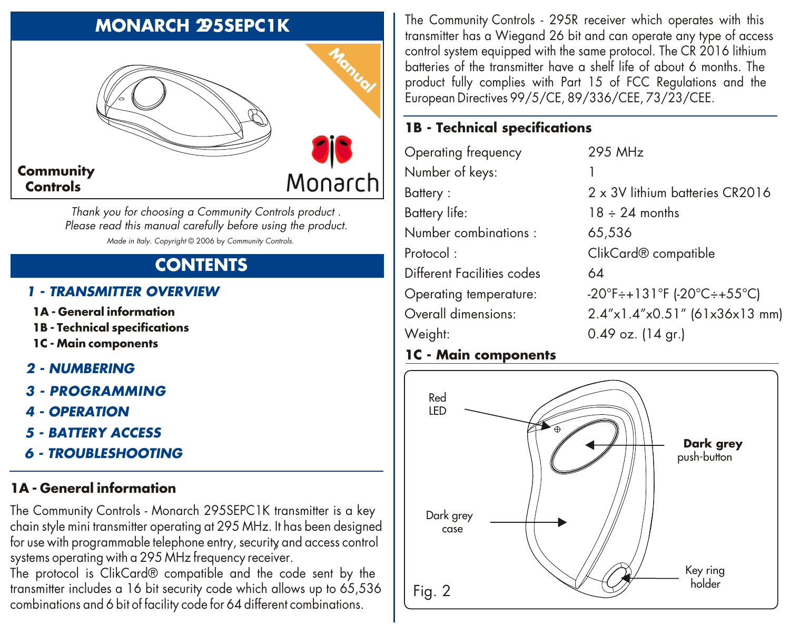# **MONARCH 295SEPC1K**



*Thank you for choosing a Community Controls product . Please read this manual carefully before using the product. Made in Italy. Copyright* © 2006 by *Community Controls.*

# **CONTENTS**

#### *1 - TRANSMITTER OVERVIEW*

- **1A - General information**
- **1B - Technical specifications**
- **1C - Main components**
- *2 NUMBERING*
- *3 - PROGRAMMING*
- *4 OPERATION*
- *5 BATTERY ACCESS*
- *6 TROUBLESHOOTING*

#### **1A - General information**

The Community Controls - Monarch 295SEPC1K transmitter is a key chain style mini transmitter operating at 295 MHz. It has been designed for use with programmable telephone entry, security and access control systems operating with a 295 MHz frequency receiver.

The protocol is ClikCard® compatible and the code sent by the transmitter includes a 16 bit security code which allows up to 65,536 combinations and 6 bit of facility code for 64 different combinations.

The Community Controls - 295R receiver which operates with this transmitter has a Wiegand 26 bit and can operate any type of access control system equipped with the same protocol. The CR 2016 lithium batteries of the transmitter have a shelf life of about 6 months. The product fully complies with Part 15 of FCC Regulations and the European Directives 99/5/CE, 89/336/CEE, 73/23/CEE.

# **1B - Technical specifications**

| Operating frequency        | 295 MHz                                          |
|----------------------------|--------------------------------------------------|
| Number of keys:            |                                                  |
| Battery:                   | 2 x 3V lithium batteries CR2016                  |
| Battery life:              | $18 \div 24$ months                              |
| Number combinations :      | 65,536                                           |
| Protocol :                 | ClikCard <sup>®</sup> compatible                 |
| Different Facilities codes | 64                                               |
| Operating temperature:     | $-20^{\circ}$ F÷+131°F (-20°C÷+55°C)             |
| Overall dimensions:        | $2.4'' \times 1.4'' \times 0.51''$ (61x36x13 mm) |
| Weight:                    | $0.49$ oz. (14 gr.)                              |

#### **1C - Main components**